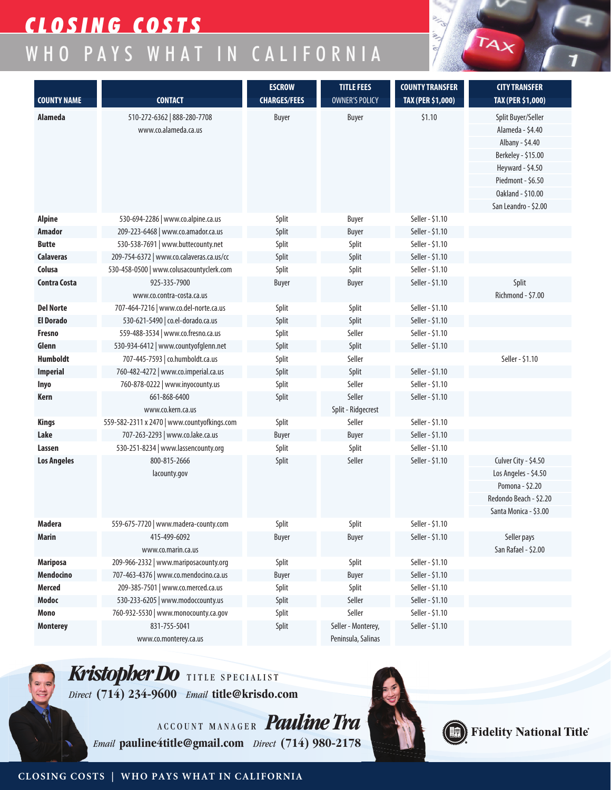## *CLOSING COSTS* WHO PAYS WHAT IN CALIFORNIA



|                     |                                                     | <b>ESCROW</b>       | <b>TITLE FEES</b>     | <b>COUNTY TRANSFER</b> | <b>CITY TRANSFER</b>     |
|---------------------|-----------------------------------------------------|---------------------|-----------------------|------------------------|--------------------------|
| <b>COUNTY NAME</b>  | <b>CONTACT</b>                                      | <b>CHARGES/FEES</b> | <b>OWNER'S POLICY</b> | TAX (PER \$1,000)      | <b>TAX (PER \$1,000)</b> |
| Alameda             | 510-272-6362   888-280-7708<br>www.co.alameda.ca.us | Buyer               | Buyer                 | \$1.10                 | Split Buyer/Seller       |
|                     |                                                     |                     |                       |                        | Alameda - \$4.40         |
|                     |                                                     |                     |                       |                        | Albany - \$4.40          |
|                     |                                                     |                     |                       |                        | Berkeley - \$15.00       |
|                     |                                                     |                     |                       |                        | Heyward - \$4.50         |
|                     |                                                     |                     |                       |                        | Piedmont - \$6.50        |
|                     |                                                     |                     |                       |                        | Oakland - \$10.00        |
|                     |                                                     |                     |                       |                        | San Leandro - \$2.00     |
| <b>Alpine</b>       | 530-694-2286   www.co.alpine.ca.us                  | Split               | Buyer                 | Seller - \$1.10        |                          |
| <b>Amador</b>       | 209-223-6468   www.co.amador.ca.us                  | Split               | <b>Buyer</b>          | Seller - \$1.10        |                          |
| <b>Butte</b>        | 530-538-7691   www.buttecounty.net                  | Split               | Split                 | Seller - \$1.10        |                          |
| <b>Calaveras</b>    | 209-754-6372   www.co.calaveras.ca.us/cc            | Split               | Split                 | Seller - \$1.10        |                          |
| Colusa              | 530-458-0500   www.colusacountyclerk.com            | Split               | Split                 | Seller - \$1.10        |                          |
| <b>Contra Costa</b> | 925-335-7900                                        | <b>Buyer</b>        | <b>Buyer</b>          | Seller - \$1.10        | Split                    |
|                     | www.co.contra-costa.ca.us                           |                     |                       |                        | Richmond - \$7.00        |
| <b>Del Norte</b>    | 707-464-7216   www.co.del-norte.ca.us               | Split               | Split                 | Seller - \$1.10        |                          |
| <b>El Dorado</b>    | 530-621-5490   co.el-dorado.ca.us                   | Split               | Split                 | Seller - \$1.10        |                          |
| Fresno              | 559-488-3534   www.co.fresno.ca.us                  | Split               | Seller                | Seller - \$1.10        |                          |
| Glenn               | 530-934-6412   www.countyofglenn.net                | Split               | Split                 | Seller - \$1.10        |                          |
| <b>Humboldt</b>     | 707-445-7593   co.humboldt.ca.us                    | Split               | Seller                |                        | Seller - \$1.10          |
| <b>Imperial</b>     | 760-482-4272   www.co.imperial.ca.us                | Split               | Split                 | Seller - \$1.10        |                          |
| Inyo                | 760-878-0222   www.inyocounty.us                    | Split               | Seller                | Seller - \$1.10        |                          |
| Kern                | 661-868-6400                                        | Split               | Seller                | Seller - \$1.10        |                          |
|                     | www.co.kern.ca.us                                   |                     | Split - Ridgecrest    |                        |                          |
| <b>Kings</b>        | 559-582-2311 x 2470   www.countyofkings.com         | Split               | Seller                | Seller - \$1.10        |                          |
| Lake                | 707-263-2293   www.co.lake.ca.us                    | <b>Buyer</b>        | <b>Buyer</b>          | Seller - \$1.10        |                          |
| Lassen              | 530-251-8234   www.lassencounty.org                 | Split               | Split                 | Seller - \$1.10        |                          |
| <b>Los Angeles</b>  | 800-815-2666                                        | Split               | Seller                | Seller - \$1.10        | Culver City - \$4.50     |
|                     | lacounty.gov                                        |                     |                       |                        | Los Angeles - \$4.50     |
|                     |                                                     |                     |                       |                        | Pomona - \$2.20          |
|                     |                                                     |                     |                       |                        | Redondo Beach - \$2.20   |
|                     |                                                     |                     |                       |                        | Santa Monica - \$3.00    |
| <b>Madera</b>       | 559-675-7720   www.madera-county.com                | Split               | Split                 | Seller - \$1.10        |                          |
| <b>Marin</b>        | 415-499-6092                                        | <b>Buyer</b>        | <b>Buyer</b>          | Seller - \$1.10        | Seller pays              |
|                     | www.co.marin.ca.us                                  |                     |                       |                        | San Rafael - \$2.00      |
| <b>Mariposa</b>     | 209-966-2332   www.mariposacounty.org               | Split               | Split                 | Seller - \$1.10        |                          |
| Mendocino           | 707-463-4376   www.co.mendocino.ca.us               | <b>Buyer</b>        | <b>Buyer</b>          | Seller - \$1.10        |                          |
| <b>Merced</b>       | 209-385-7501   www.co.merced.ca.us                  | Split               | Split                 | Seller - \$1.10        |                          |
| Modoc               | 530-233-6205   www.modoccounty.us                   | Split               | Seller                | Seller - \$1.10        |                          |
| Mono                | 760-932-5530   www.monocounty.ca.gov                | Split               | Seller                | Seller - \$1.10        |                          |
| <b>Monterey</b>     | 831-755-5041                                        | Split               | Seller - Monterey,    | Seller - \$1.10        |                          |
|                     | www.co.monterey.ca.us                               |                     | Peninsula, Salinas    |                        |                          |



ACCOUNT MANAGER Pauline Tra *Email* **pauline4title@gmail.com** *Direct* **(714) 980-2178**



Fidelity National Title®

**CLOSING COSTS | WHO PAYS WHAT IN CALIFORNIA**